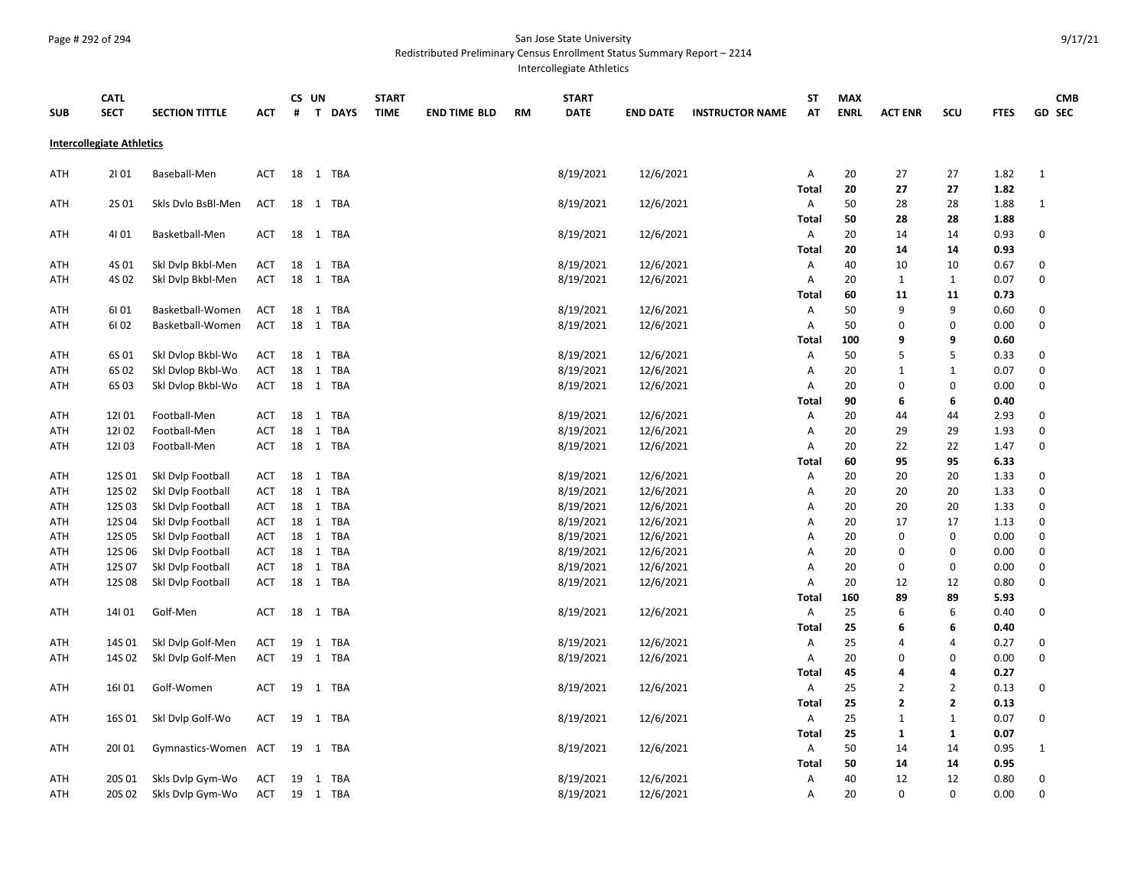## Page # 292 of 294 San Jose State University

Redistributed Preliminary Census Enrollment Status Summary Report – 2214

Intercollegiate Athletics

|                                  | <b>CATL</b>      |                                        |                   |    | CS UN |                      | <b>START</b> |                     |    | <b>START</b>           |                        |                        | ST                | <b>MAX</b>  |                   |                |              | <b>CMB</b>   |  |
|----------------------------------|------------------|----------------------------------------|-------------------|----|-------|----------------------|--------------|---------------------|----|------------------------|------------------------|------------------------|-------------------|-------------|-------------------|----------------|--------------|--------------|--|
| <b>SUB</b>                       | <b>SECT</b>      | <b>SECTION TITTLE</b>                  | АСТ               | #  |       | T DAYS               | <b>TIME</b>  | <b>END TIME BLD</b> | RM | <b>DATE</b>            | <b>END DATE</b>        | <b>INSTRUCTOR NAME</b> | ΑT                | <b>ENRL</b> | <b>ACT ENR</b>    | <b>SCU</b>     | <b>FTES</b>  | GD SEC       |  |
| <b>Intercollegiate Athletics</b> |                  |                                        |                   |    |       |                      |              |                     |    |                        |                        |                        |                   |             |                   |                |              |              |  |
|                                  |                  |                                        |                   |    |       |                      |              |                     |    | 8/19/2021              |                        |                        |                   |             |                   |                |              |              |  |
| ATH                              | 2101             | Baseball-Men                           | ACT               | 18 |       | 1 TBA                |              |                     |    |                        | 12/6/2021              |                        | А<br><b>Total</b> | 20<br>20    | 27<br>27          | 27<br>27       | 1.82<br>1.82 | $\mathbf{1}$ |  |
| ATH                              | 2S 01            | Skls Dvlo BsBl-Men                     | ACT               |    |       | 18 1 TBA             |              |                     |    | 8/19/2021              | 12/6/2021              |                        | Α                 | 50          | 28                | 28             | 1.88         | $\mathbf{1}$ |  |
|                                  |                  |                                        |                   |    |       |                      |              |                     |    |                        |                        |                        | Total             | 50          | 28                | 28             | 1.88         |              |  |
| ATH                              | 4101             | Basketball-Men                         | <b>ACT</b>        |    |       | 18 1 TBA             |              |                     |    | 8/19/2021              | 12/6/2021              |                        | А                 | 20          | 14                | 14             | 0.93         | 0            |  |
|                                  |                  |                                        |                   |    |       |                      |              |                     |    |                        |                        |                        | <b>Total</b>      | 20          | 14                | 14             | 0.93         |              |  |
| ATH                              | 4S 01            | Skl Dvlp Bkbl-Men                      | ACT               | 18 |       | 1 TBA                |              |                     |    | 8/19/2021              | 12/6/2021              |                        | А                 | 40          | 10                | 10             | 0.67         | 0            |  |
| ATH                              | 4S 02            | Skl Dvlp Bkbl-Men                      | <b>ACT</b>        |    |       | 18 1 TBA             |              |                     |    | 8/19/2021              | 12/6/2021              |                        | Α                 | 20          | 1                 | 1              | 0.07         | 0            |  |
|                                  |                  |                                        |                   |    |       |                      |              |                     |    |                        |                        |                        | Total             | 60          | 11                | 11             | 0.73         |              |  |
| ATH                              | 6101             | Basketball-Women                       | ACT               | 18 |       | 1 TBA                |              |                     |    | 8/19/2021              | 12/6/2021              |                        | Α                 | 50          | 9                 | 9              | 0.60         | 0            |  |
| ATH                              | 6102             | Basketball-Women                       | ACT               | 18 |       | 1 TBA                |              |                     |    | 8/19/2021              | 12/6/2021              |                        | Α                 | 50          | $\Omega$          | $\Omega$       | 0.00         | 0            |  |
|                                  |                  |                                        |                   |    |       |                      |              |                     |    |                        |                        |                        | Total             | 100         | 9                 | 9              | 0.60         |              |  |
| ATH                              | 6S 01            | Skl Dvlop Bkbl-Wo                      | ACT               |    | 18 1  | TBA                  |              |                     |    | 8/19/2021              | 12/6/2021              |                        | Α                 | 50          | 5                 | 5              | 0.33         | 0            |  |
| ATH                              | 6S 02            | Skl Dvlop Bkbl-Wo                      | <b>ACT</b>        |    |       | 18 1 TBA             |              |                     |    | 8/19/2021              | 12/6/2021              |                        | Α                 | 20          | 1                 | $\mathbf{1}$   | 0.07         | 0            |  |
| ATH                              | 6S03             | Skl Dvlop Bkbl-Wo                      | <b>ACT</b>        |    |       | 18 1 TBA             |              |                     |    | 8/19/2021              | 12/6/2021              |                        | Α                 | 20          | $\mathbf 0$       | 0              | 0.00         | 0            |  |
|                                  |                  |                                        |                   |    |       |                      |              |                     |    |                        |                        |                        | <b>Total</b>      | 90          | 6                 | 6              | 0.40         |              |  |
| ATH                              | 12101            | Football-Men                           | ACT               | 18 |       | 1 TBA                |              |                     |    | 8/19/2021              | 12/6/2021              |                        | А                 | 20          | 44                | 44             | 2.93         | 0            |  |
| ATH                              | 12102            | Football-Men                           | <b>ACT</b>        | 18 | 1     | TBA                  |              |                     |    | 8/19/2021              | 12/6/2021              |                        | A                 | 20          | 29                | 29             | 1.93         | 0            |  |
| ATH                              | 12103            | Football-Men                           | <b>ACT</b>        |    |       | 18 1 TBA             |              |                     |    | 8/19/2021              | 12/6/2021              |                        | Α                 | 20          | 22                | 22             | 1.47         | 0            |  |
|                                  |                  |                                        |                   |    |       |                      |              |                     |    |                        |                        |                        | <b>Total</b>      | 60          | 95                | 95             | 6.33         |              |  |
| ATH                              | 12S 01           | Skl Dvlp Football                      | ACT               | 18 |       | 1 TBA                |              |                     |    | 8/19/2021              | 12/6/2021              |                        | Α                 | 20          | 20                | 20             | 1.33         | 0            |  |
| ATH                              | 12S 02           | Skl Dvlp Football                      | <b>ACT</b>        | 18 |       | 1 TBA                |              |                     |    | 8/19/2021              | 12/6/2021              |                        | Α                 | 20          | 20                | 20             | 1.33         | 0            |  |
| ATH                              | 12S03            | Skl Dvlp Football                      | <b>ACT</b>        | 18 |       | 1 TBA                |              |                     |    | 8/19/2021              | 12/6/2021              |                        | Α                 | 20          | 20                | 20             | 1.33         | 0            |  |
| ATH                              | 12S04            | Skl Dvlp Football                      | <b>ACT</b>        |    |       | 18 1 TBA             |              |                     |    | 8/19/2021              | 12/6/2021              |                        | Α                 | 20          | 17<br>$\mathbf 0$ | 17<br>$\Omega$ | 1.13         | 0<br>0       |  |
| ATH                              | 12S 05<br>12S 06 | Skl Dvlp Football                      | ACT               |    |       | 18 1 TBA<br>18 1 TBA |              |                     |    | 8/19/2021<br>8/19/2021 | 12/6/2021<br>12/6/2021 |                        | А                 | 20<br>20    | 0                 | 0              | 0.00<br>0.00 | 0            |  |
| ATH<br>ATH                       | 12S 07           | Skl Dvlp Football<br>Skl Dvlp Football | ACT<br><b>ACT</b> | 18 |       | 1 TBA                |              |                     |    | 8/19/2021              | 12/6/2021              |                        | Α<br>Α            | 20          | $\Omega$          | 0              | 0.00         | 0            |  |
| ATH                              | 12S08            | Skl Dvlp Football                      | ACT               | 18 |       | 1 TBA                |              |                     |    | 8/19/2021              | 12/6/2021              |                        | А                 | 20          | 12                | 12             | 0.80         | 0            |  |
|                                  |                  |                                        |                   |    |       |                      |              |                     |    |                        |                        |                        | Total             | 160         | 89                | 89             | 5.93         |              |  |
| ATH                              | 14  01           | Golf-Men                               | <b>ACT</b>        | 18 |       | 1 TBA                |              |                     |    | 8/19/2021              | 12/6/2021              |                        | Α                 | 25          | 6                 | 6              | 0.40         | 0            |  |
|                                  |                  |                                        |                   |    |       |                      |              |                     |    |                        |                        |                        | <b>Total</b>      | 25          | 6                 | 6              | 0.40         |              |  |
| ATH                              | 14S 01           | Skl Dvlp Golf-Men                      | ACT               | 19 | 1     | TBA                  |              |                     |    | 8/19/2021              | 12/6/2021              |                        | Α                 | 25          | 4                 | 4              | 0.27         | 0            |  |
| ATH                              | 14S 02           | Skl Dvlp Golf-Men                      | ACT               | 19 |       | 1 TBA                |              |                     |    | 8/19/2021              | 12/6/2021              |                        | А                 | 20          | 0                 | $\Omega$       | 0.00         | 0            |  |
|                                  |                  |                                        |                   |    |       |                      |              |                     |    |                        |                        |                        | Total             | 45          | 4                 | 4              | 0.27         |              |  |
| ATH                              | 16  01           | Golf-Women                             | <b>ACT</b>        | 19 |       | 1 TBA                |              |                     |    | 8/19/2021              | 12/6/2021              |                        | Α                 | 25          | 2                 | $\overline{2}$ | 0.13         | 0            |  |
|                                  |                  |                                        |                   |    |       |                      |              |                     |    |                        |                        |                        | <b>Total</b>      | 25          | $\overline{2}$    | $\mathbf{2}$   | 0.13         |              |  |
| ATH                              | 16S 01           | Skl Dvlp Golf-Wo                       | <b>ACT</b>        | 19 |       | 1 TBA                |              |                     |    | 8/19/2021              | 12/6/2021              |                        | Α                 | 25          | 1                 | $\mathbf{1}$   | 0.07         | 0            |  |
|                                  |                  |                                        |                   |    |       |                      |              |                     |    |                        |                        |                        | <b>Total</b>      | 25          | 1                 | $\mathbf{1}$   | 0.07         |              |  |
| ATH                              | 20101            | Gymnastics-Women ACT                   |                   |    |       | 19 1 TBA             |              |                     |    | 8/19/2021              | 12/6/2021              |                        | Α                 | 50          | 14                | 14             | 0.95         | $\mathbf{1}$ |  |
|                                  |                  |                                        |                   |    |       |                      |              |                     |    |                        |                        |                        | Total             | 50          | 14                | 14             | 0.95         |              |  |
| ATH                              | 20S 01           | Skls Dvlp Gym-Wo                       | <b>ACT</b>        |    |       | 19 1 TBA             |              |                     |    | 8/19/2021              | 12/6/2021              |                        | А                 | 40          | 12                | 12             | 0.80         | 0            |  |
| ATH                              | 20S 02           | Skls Dvlp Gym-Wo                       | <b>ACT</b>        |    |       | 19 1 TBA             |              |                     |    | 8/19/2021              | 12/6/2021              |                        | Α                 | 20          | $\Omega$          | 0              | 0.00         | 0            |  |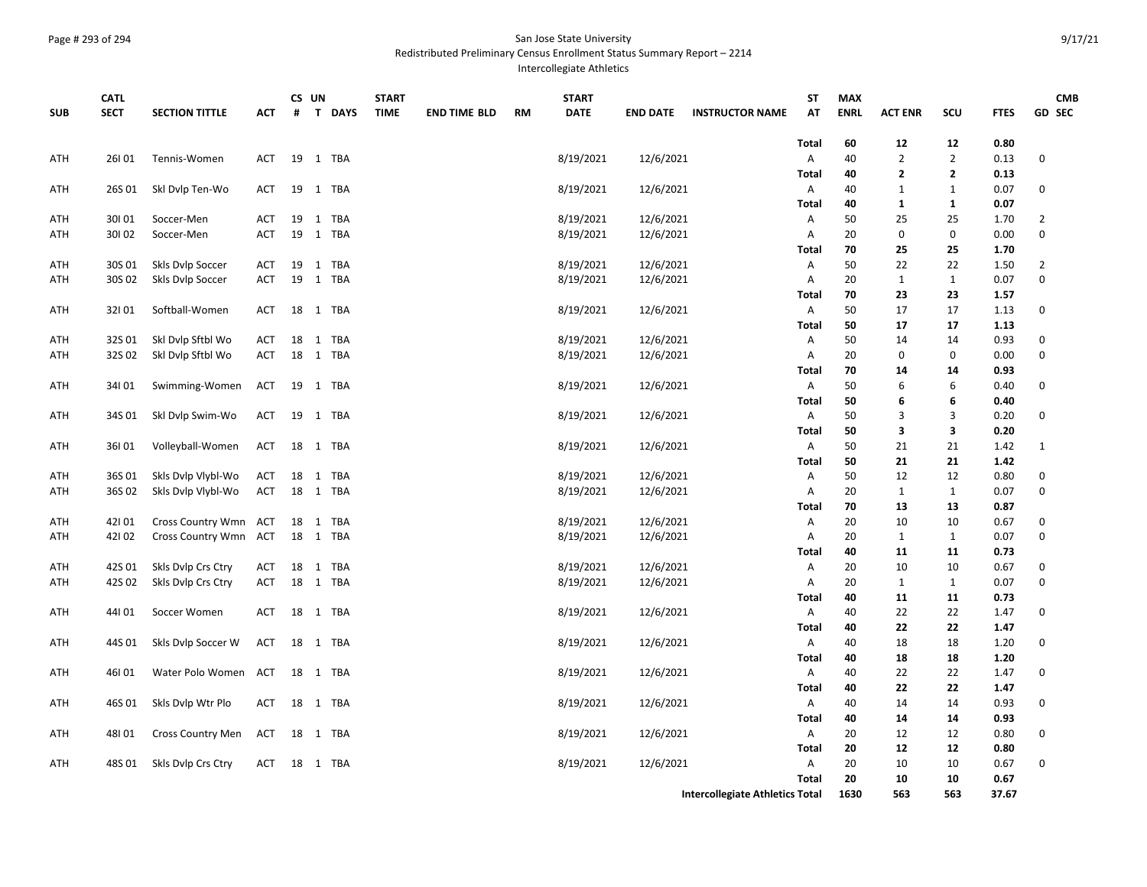## Page # 293 of 294 San Jose State University

Redistributed Preliminary Census Enrollment Status Summary Report – 2214

Intercollegiate Athletics

|            | <b>CATL</b> |                       |            |    | CS UN |          | <b>START</b> |                     |    | <b>START</b> |                 |                                        | ST                | <b>MAX</b>  |                |                |              | <b>CMB</b>     |
|------------|-------------|-----------------------|------------|----|-------|----------|--------------|---------------------|----|--------------|-----------------|----------------------------------------|-------------------|-------------|----------------|----------------|--------------|----------------|
| <b>SUB</b> | <b>SECT</b> | <b>SECTION TITTLE</b> | АСТ        | #  |       | T DAYS   | <b>TIME</b>  | <b>END TIME BLD</b> | RM | <b>DATE</b>  | <b>END DATE</b> | <b>INSTRUCTOR NAME</b>                 | AT                | <b>ENRL</b> | <b>ACT ENR</b> | scu            | <b>FTES</b>  | <b>GD SEC</b>  |
|            |             |                       |            |    |       |          |              |                     |    |              |                 |                                        | Total             | 60          | 12             | 12             | 0.80         |                |
| ATH        | 26101       | Tennis-Women          | <b>ACT</b> | 19 |       | 1 TBA    |              |                     |    | 8/19/2021    | 12/6/2021       |                                        | Α                 | 40          | $\overline{2}$ | $\overline{2}$ | 0.13         | $\mathbf 0$    |
|            |             |                       |            |    |       |          |              |                     |    |              |                 |                                        | <b>Total</b>      | 40          | 2              | $\mathbf{2}$   | 0.13         |                |
| ATH        | 26S 01      | Skl Dvlp Ten-Wo       | <b>ACT</b> |    |       | 19 1 TBA |              |                     |    | 8/19/2021    | 12/6/2021       |                                        | A                 | 40          | $\mathbf{1}$   | 1              | 0.07         | 0              |
|            |             |                       |            |    |       |          |              |                     |    |              |                 |                                        | <b>Total</b>      | 40          | 1              | 1              | 0.07         |                |
| ATH        | 30101       | Soccer-Men            | ACT        |    |       | 19 1 TBA |              |                     |    | 8/19/2021    | 12/6/2021       |                                        | Α                 | 50          | 25             | 25             | 1.70         | $\overline{2}$ |
| ATH        | 30102       | Soccer-Men            | <b>ACT</b> | 19 |       | 1 TBA    |              |                     |    | 8/19/2021    | 12/6/2021       |                                        | A                 | 20          | 0              | 0              | 0.00         | 0              |
|            |             |                       |            |    |       |          |              |                     |    |              |                 |                                        | Total             | 70          | 25             | 25             | 1.70         |                |
| ATH        | 30S 01      | Skls Dvlp Soccer      | <b>ACT</b> | 19 |       | 1 TBA    |              |                     |    | 8/19/2021    | 12/6/2021       |                                        | A                 | 50          | 22             | 22             | 1.50         | $\overline{2}$ |
| ATH        | 30S 02      | Skls Dvlp Soccer      | ACT        |    |       | 19 1 TBA |              |                     |    | 8/19/2021    | 12/6/2021       |                                        | A                 | 20          | $\mathbf 1$    | $\mathbf{1}$   | 0.07         | $\mathbf 0$    |
|            |             |                       |            |    |       |          |              |                     |    |              |                 |                                        | Total             | 70          | 23             | 23             | 1.57         |                |
| ATH        | 32101       | Softball-Women        | ACT        | 18 |       | 1 TBA    |              |                     |    | 8/19/2021    | 12/6/2021       |                                        | Α                 | 50          | 17             | 17             | 1.13         | $\mathbf 0$    |
|            |             |                       |            |    |       |          |              |                     |    |              |                 |                                        | <b>Total</b>      | 50          | 17             | 17             | 1.13         |                |
| ATH        | 32S01       | Skl Dvlp Sftbl Wo     | ACT        | 18 |       | 1 TBA    |              |                     |    | 8/19/2021    | 12/6/2021       |                                        | Α                 | 50          | 14             | 14             | 0.93         | 0              |
| ATH        | 32S 02      | Ski Dvip Sftbi Wo     | ACT        |    |       | 18 1 TBA |              |                     |    | 8/19/2021    | 12/6/2021       |                                        | A                 | 20          | 0              | 0              | 0.00         | $\mathbf 0$    |
|            |             |                       |            |    |       |          |              |                     |    |              |                 |                                        | Total             | 70          | 14             | 14             | 0.93         |                |
| ATH        | 34101       | Swimming-Women        | <b>ACT</b> | 19 |       | 1 TBA    |              |                     |    | 8/19/2021    | 12/6/2021       |                                        | A                 | 50          | 6              | 6              | 0.40         | 0              |
|            |             |                       |            |    |       |          |              |                     |    |              |                 |                                        | Total             | 50          | 6<br>3         | 6<br>3         | 0.40         | $\mathbf 0$    |
| ATH        | 34S 01      | Skl Dvlp Swim-Wo      | ACT        |    |       | 19 1 TBA |              |                     |    | 8/19/2021    | 12/6/2021       |                                        | A<br><b>Total</b> | 50<br>50    | 3              | 3              | 0.20<br>0.20 |                |
| ATH        | 36I 01      | Volleyball-Women      | ACT        |    |       | 18 1 TBA |              |                     |    | 8/19/2021    | 12/6/2021       |                                        | A                 | 50          | 21             | 21             | 1.42         | 1              |
|            |             |                       |            |    |       |          |              |                     |    |              |                 |                                        | Total             | 50          | 21             | 21             | 1.42         |                |
| ATH        | 36S01       | Skls Dvlp Vlybl-Wo    | ACT        | 18 |       | 1 TBA    |              |                     |    | 8/19/2021    | 12/6/2021       |                                        | A                 | 50          | 12             | 12             | 0.80         | 0              |
| ATH        | 36S 02      | Skls Dvlp Vlybl-Wo    | ACT        |    |       | 18 1 TBA |              |                     |    | 8/19/2021    | 12/6/2021       |                                        | A                 | 20          | $\mathbf{1}$   | $\mathbf{1}$   | 0.07         | 0              |
|            |             |                       |            |    |       |          |              |                     |    |              |                 |                                        | Total             | 70          | 13             | 13             | 0.87         |                |
| ATH        | 42101       | Cross Country Wmn ACT |            |    |       | 18 1 TBA |              |                     |    | 8/19/2021    | 12/6/2021       |                                        | A                 | 20          | 10             | 10             | 0.67         | 0              |
| ATH        | 42102       | Cross Country Wmn ACT |            |    |       | 18 1 TBA |              |                     |    | 8/19/2021    | 12/6/2021       |                                        | A                 | 20          | $\mathbf{1}$   | 1              | 0.07         | $\mathbf 0$    |
|            |             |                       |            |    |       |          |              |                     |    |              |                 |                                        | <b>Total</b>      | 40          | 11             | 11             | 0.73         |                |
| ATH        | 42S 01      | Skls Dvlp Crs Ctry    | ACT        | 18 |       | 1 TBA    |              |                     |    | 8/19/2021    | 12/6/2021       |                                        | Α                 | 20          | 10             | 10             | 0.67         | 0              |
| ATH        | 42S 02      | Skls Dvlp Crs Ctry    | ACT        | 18 |       | 1 TBA    |              |                     |    | 8/19/2021    | 12/6/2021       |                                        | A                 | 20          | $\mathbf{1}$   | 1              | 0.07         | $\mathbf 0$    |
|            |             |                       |            |    |       |          |              |                     |    |              |                 |                                        | Total             | 40          | 11             | 11             | 0.73         |                |
| ATH        | 44101       | Soccer Women          | ACT        | 18 |       | 1 TBA    |              |                     |    | 8/19/2021    | 12/6/2021       |                                        | A                 | 40          | 22             | 22             | 1.47         | 0              |
|            |             |                       |            |    |       |          |              |                     |    |              |                 |                                        | Total             | 40          | 22             | 22             | 1.47         |                |
| ATH        | 44S 01      | Skls Dvlp Soccer W    | ACT        |    |       | 18 1 TBA |              |                     |    | 8/19/2021    | 12/6/2021       |                                        | A                 | 40          | 18             | 18             | 1.20         | $\mathbf 0$    |
|            |             |                       |            |    |       |          |              |                     |    |              |                 |                                        | <b>Total</b>      | 40          | 18             | 18             | 1.20         |                |
| ATH        | 46101       | Water Polo Women ACT  |            |    |       | 18 1 TBA |              |                     |    | 8/19/2021    | 12/6/2021       |                                        | A                 | 40          | 22             | 22             | 1.47         | 0              |
|            |             |                       |            |    |       |          |              |                     |    |              |                 |                                        | Total             | 40          | 22             | 22             | 1.47         |                |
| ATH        | 46S 01      | Skls Dvlp Wtr Plo     | ACT        |    |       | 18 1 TBA |              |                     |    | 8/19/2021    | 12/6/2021       |                                        | A<br><b>Total</b> | 40<br>40    | 14<br>14       | 14<br>14       | 0.93<br>0.93 | 0              |
| ATH        | 48101       | Cross Country Men     | ACT        | 18 |       | 1 TBA    |              |                     |    | 8/19/2021    | 12/6/2021       |                                        | A                 | 20          | 12             | 12             | 0.80         | 0              |
|            |             |                       |            |    |       |          |              |                     |    |              |                 |                                        | Total             | 20          | 12             | 12             | 0.80         |                |
| ATH        | 48S 01      | Skls Dvlp Crs Ctry    | ACT        |    |       | 18 1 TBA |              |                     |    | 8/19/2021    | 12/6/2021       |                                        | A                 | 20          | 10             | 10             | 0.67         | 0              |
|            |             |                       |            |    |       |          |              |                     |    |              |                 |                                        | <b>Total</b>      | 20          | 10             | 10             | 0.67         |                |
|            |             |                       |            |    |       |          |              |                     |    |              |                 | <b>Intercollegiate Athletics Total</b> |                   | 1630        | 563            | 563            | 37.67        |                |